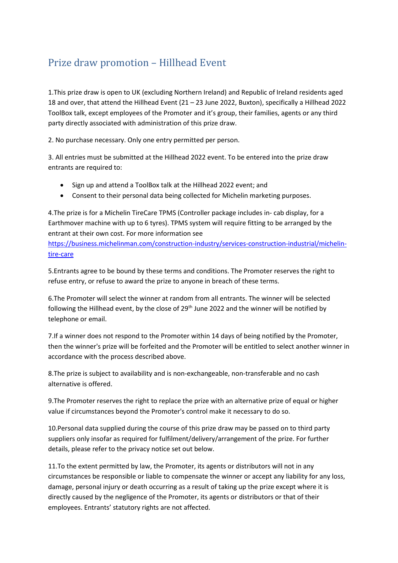## Prize draw promotion – Hillhead Event

1.This prize draw is open to UK (excluding Northern Ireland) and Republic of Ireland residents aged 18 and over, that attend the Hillhead Event (21 – 23 June 2022, Buxton), specifically a Hillhead 2022 ToolBox talk, except employees of the Promoter and it's group, their families, agents or any third party directly associated with administration of this prize draw.

2. No purchase necessary. Only one entry permitted per person.

3. All entries must be submitted at the Hillhead 2022 event. To be entered into the prize draw entrants are required to:

- Sign up and attend a ToolBox talk at the Hillhead 2022 event; and
- Consent to their personal data being collected for Michelin marketing purposes.

4.The prize is for a Michelin TireCare TPMS (Controller package includes in- cab display, for a Earthmover machine with up to 6 tyres). TPMS system will require fitting to be arranged by the entrant at their own cost. For more information see

[https://business.michelinman.com/construction-industry/services-construction-industrial/michelin](https://business.michelinman.com/construction-industry/services-construction-industrial/michelin-tire-care)[tire-care](https://business.michelinman.com/construction-industry/services-construction-industrial/michelin-tire-care)

5.Entrants agree to be bound by these terms and conditions. The Promoter reserves the right to refuse entry, or refuse to award the prize to anyone in breach of these terms.

6.The Promoter will select the winner at random from all entrants. The winner will be selected following the Hillhead event, by the close of  $29<sup>th</sup>$  June 2022 and the winner will be notified by telephone or email.

7.If a winner does not respond to the Promoter within 14 days of being notified by the Promoter, then the winner's prize will be forfeited and the Promoter will be entitled to select another winner in accordance with the process described above.

8.The prize is subject to availability and is non-exchangeable, non-transferable and no cash alternative is offered.

9.The Promoter reserves the right to replace the prize with an alternative prize of equal or higher value if circumstances beyond the Promoter's control make it necessary to do so.

10.Personal data supplied during the course of this prize draw may be passed on to third party suppliers only insofar as required for fulfilment/delivery/arrangement of the prize. For further details, please refer to the privacy notice set out below.

11.To the extent permitted by law, the Promoter, its agents or distributors will not in any circumstances be responsible or liable to compensate the winner or accept any liability for any loss, damage, personal injury or death occurring as a result of taking up the prize except where it is directly caused by the negligence of the Promoter, its agents or distributors or that of their employees. Entrants' statutory rights are not affected.